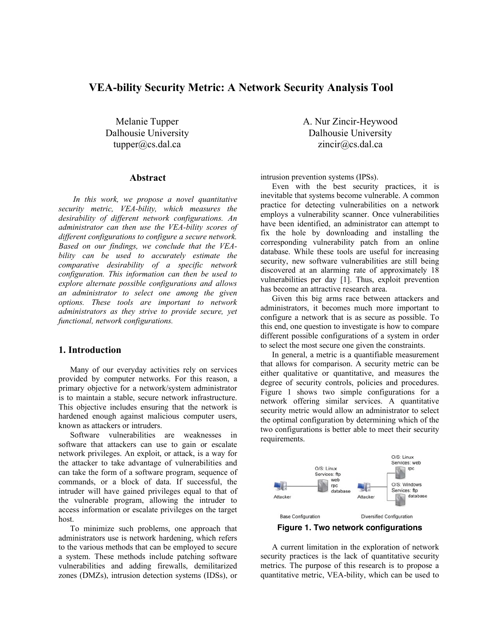## **VEA-bility Security Metric: A Network Security Analysis Tool**

Melanie Tupper Dalhousie University tupper@cs.dal.ca

#### **Abstract**

*In this work, we propose a novel quantitative security metric, VEA-bility, which measures the desirability of different network configurations. An administrator can then use the VEA-bility scores of different configurations to configure a secure network. Based on our findings, we conclude that the VEAbility can be used to accurately estimate the comparative desirability of a specific network configuration. This information can then be used to explore alternate possible configurations and allows an administrator to select one among the given options. These tools are important to network administrators as they strive to provide secure, yet functional, network configurations.*

#### **1. Introduction**

Many of our everyday activities rely on services provided by computer networks. For this reason, a primary objective for a network/system administrator is to maintain a stable, secure network infrastructure. This objective includes ensuring that the network is hardened enough against malicious computer users, known as attackers or intruders.

Software vulnerabilities are weaknesses in software that attackers can use to gain or escalate network privileges. An exploit, or attack, is a way for the attacker to take advantage of vulnerabilities and can take the form of a software program, sequence of commands, or a block of data. If successful, the intruder will have gained privileges equal to that of the vulnerable program, allowing the intruder to access information or escalate privileges on the target host.

To minimize such problems, one approach that administrators use is network hardening, which refers to the various methods that can be employed to secure a system. These methods include patching software vulnerabilities and adding firewalls, demilitarized zones (DMZs), intrusion detection systems (IDSs), or A. Nur Zincir-Heywood Dalhousie University zincir@cs.dal.ca

intrusion prevention systems (IPSs).

Even with the best security practices, it is inevitable that systems become vulnerable. A common practice for detecting vulnerabilities on a network employs a vulnerability scanner. Once vulnerabilities have been identified, an administrator can attempt to fix the hole by downloading and installing the corresponding vulnerability patch from an online database. While these tools are useful for increasing security, new software vulnerabilities are still being discovered at an alarming rate of approximately 18 vulnerabilities per day [1]. Thus, exploit prevention has become an attractive research area.

Given this big arms race between attackers and administrators, it becomes much more important to configure a network that is as secure as possible. To this end, one question to investigate is how to compare different possible configurations of a system in order to select the most secure one given the constraints.

In general, a metric is a quantifiable measurement that allows for comparison. A security metric can be either qualitative or quantitative, and measures the degree of security controls, policies and procedures. Figure 1 shows two simple configurations for a network offering similar services. A quantitative security metric would allow an administrator to select the optimal configuration by determining which of the two configurations is better able to meet their security requirements.



**Figure 1. Two network configurations** 

A current limitation in the exploration of network security practices is the lack of quantitative security metrics. The purpose of this research is to propose a quantitative metric, VEA-bility, which can be used to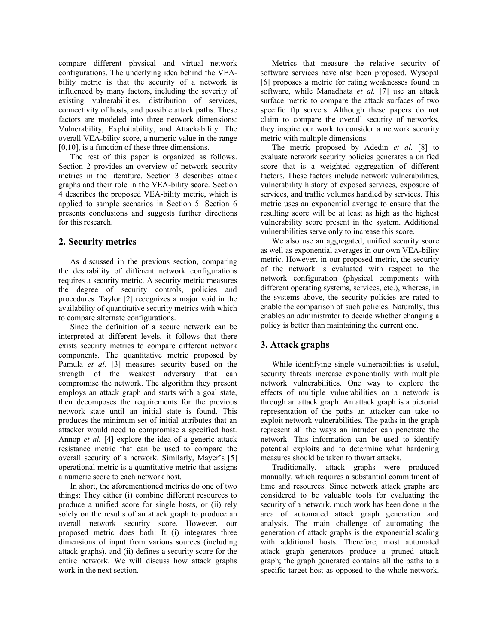compare different physical and virtual network configurations. The underlying idea behind the VEAbility metric is that the security of a network is influenced by many factors, including the severity of existing vulnerabilities, distribution of services, connectivity of hosts, and possible attack paths. These factors are modeled into three network dimensions: Vulnerability, Exploitability, and Attackability. The overall VEA-bility score, a numeric value in the range [0,10], is a function of these three dimensions.

The rest of this paper is organized as follows. Section 2 provides an overview of network security metrics in the literature. Section 3 describes attack graphs and their role in the VEA-bility score. Section 4 describes the proposed VEA-bility metric, which is applied to sample scenarios in Section 5. Section 6 presents conclusions and suggests further directions for this research.

## **2. Security metrics**

As discussed in the previous section, comparing the desirability of different network configurations requires a security metric. A security metric measures the degree of security controls, policies and procedures. Taylor [2] recognizes a major void in the availability of quantitative security metrics with which to compare alternate configurations.

Since the definition of a secure network can be interpreted at different levels, it follows that there exists security metrics to compare different network components. The quantitative metric proposed by Pamula *et al.* [3] measures security based on the strength of the weakest adversary that can compromise the network. The algorithm they present employs an attack graph and starts with a goal state, then decomposes the requirements for the previous network state until an initial state is found. This produces the minimum set of initial attributes that an attacker would need to compromise a specified host. Annop *et al.* [4] explore the idea of a generic attack resistance metric that can be used to compare the overall security of a network. Similarly, Mayer's [5] operational metric is a quantitative metric that assigns a numeric score to each network host.

In short, the aforementioned metrics do one of two things: They either (i) combine different resources to produce a unified score for single hosts, or (ii) rely solely on the results of an attack graph to produce an overall network security score. However, our proposed metric does both: It (i) integrates three dimensions of input from various sources (including attack graphs), and (ii) defines a security score for the entire network. We will discuss how attack graphs work in the next section.

Metrics that measure the relative security of software services have also been proposed. Wysopal [6] proposes a metric for rating weaknesses found in software, while Manadhata *et al.* [7] use an attack surface metric to compare the attack surfaces of two specific ftp servers. Although these papers do not claim to compare the overall security of networks, they inspire our work to consider a network security metric with multiple dimensions.

The metric proposed by Adedin *et al.* [8] to evaluate network security policies generates a unified score that is a weighted aggregation of different factors. These factors include network vulnerabilities, vulnerability history of exposed services, exposure of services, and traffic volumes handled by services. This metric uses an exponential average to ensure that the resulting score will be at least as high as the highest vulnerability score present in the system. Additional vulnerabilities serve only to increase this score.

We also use an aggregated, unified security score as well as exponential averages in our own VEA-bility metric. However, in our proposed metric, the security of the network is evaluated with respect to the network configuration (physical components with different operating systems, services, etc.), whereas, in the systems above, the security policies are rated to enable the comparison of such policies. Naturally, this enables an administrator to decide whether changing a policy is better than maintaining the current one.

# **3. Attack graphs**

While identifying single vulnerabilities is useful, security threats increase exponentially with multiple network vulnerabilities. One way to explore the effects of multiple vulnerabilities on a network is through an attack graph. An attack graph is a pictorial representation of the paths an attacker can take to exploit network vulnerabilities. The paths in the graph represent all the ways an intruder can penetrate the network. This information can be used to identify potential exploits and to determine what hardening measures should be taken to thwart attacks.

Traditionally, attack graphs were produced manually, which requires a substantial commitment of time and resources. Since network attack graphs are considered to be valuable tools for evaluating the security of a network, much work has been done in the area of automated attack graph generation and analysis. The main challenge of automating the generation of attack graphs is the exponential scaling with additional hosts. Therefore, most automated attack graph generators produce a pruned attack graph; the graph generated contains all the paths to a specific target host as opposed to the whole network.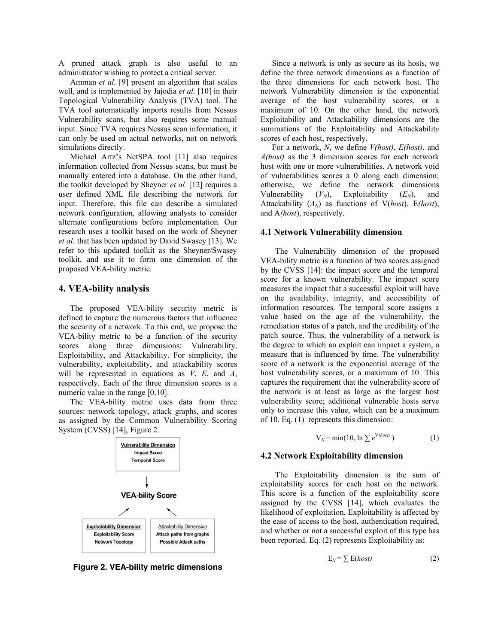A pruned attack graph is also useful to an administrator wishing to protect a critical server.

Amman *et al.* [9] present an algorithm that scales well, and is implemented by Jajodia *et al.* [10] in their Topological Vulnerability Analysis (TVA) tool. The TVA tool automatically imports results from Nessus Vulnerability scans, but also requires some manual input. Since TVA requires Nessus scan information, it can only be used on actual networks, not on network simulations directly.

Michael Artz's NetSPA tool [11] also requires information collected from Nessus scans, but must be manually entered into a database. On the other hand, the toolkit developed by Sheyner *et al.* [12] requires a user defined XML file describing the network for input. Therefore, this file can describe a simulated network configuration, allowing analysts to consider alternate configurations before implementation. Our research uses a toolkit based on the work of Sheyner *et al*. that has been updated by David Swasey [13]. We refer to this updated toolkit as the Sheyner/Swasey toolkit, and use it to form one dimension of the proposed VEA-bility metric.

### **4. VEA-bility analysis**

The proposed VEA-bility security metric is defined to capture the numerous factors that influence the security of a network. To this end, we propose the VEA-bility metric to be a function of the security scores along three dimensions: Vulnerability, Exploitability, and Attackability. For simplicity, the vulnerability, exploitability, and attackability scores will be represented in equations as *V*, *E*, and *A*, respectively. Each of the three dimension scores is a numeric value in the range [0,10].

The VEA-bility metric uses data from three sources: network topology, attack graphs, and scores as assigned by the Common Vulnerability Scoring System (CVSS) [14], Figure 2.



**Figure 2. VEA-bility metric dimensions**

Since a network is only as secure as its hosts, we define the three network dimensions as a function of the three dimensions for each network host. The network Vulnerability dimension is the exponential average of the host vulnerability scores, or a maximum of 10. On the other hand, the network Exploitability and Attackability dimensions are the summations of the Exploitability and Attackabilit*y* scores of each host, respectively.

For a network, *N*, we define *V(host)*, *E(host)*, and *A(host)* as the 3 dimension scores for each network host with one or more vulnerabilities. A network void of vulnerabilities scores a 0 along each dimension; otherwise, we define the network dimensions Vulnerability  $(V_N)$ , Exploitability  $(E_N)$ , and Attackability  $(A_N)$  as functions of  $V(host)$ ,  $E(host)$ , and A*(host*), respectively.

#### **4.1 Network Vulnerability dimension**

The Vulnerability dimension of the proposed VEA-bility metric is a function of two scores assigned by the CVSS [14]: the impact score and the temporal score for a known vulnerability. The impact score measures the impact that a successful exploit will have on the availability, integrity, and accessibility of information resources. The temporal score assigns a value based on the age of the vulnerability, the remediation status of a patch, and the credibility of the patch source. Thus, the vulnerability of a network is the degree to which an exploit can impact a system, a measure that is influenced by time. The vulnerability score of a network is the exponential average of the host vulnerability scores, or a maximum of 10. This captures the requirement that the vulnerability score of the network is at least as large as the largest host vulnerability score; additional vulnerable hosts serve only to increase this value, which can be a maximum of 10. Eq. (1) represents this dimension:

$$
V_N = \min(10, \ln \sum e^{V(host)})
$$
 (1)

#### **4.2 Network Exploitability dimension**

The Exploitability dimension is the sum of exploitability scores for each host on the network. This score is a function of the exploitability score assigned by the CVSS [14], which evaluates the likelihood of exploitation. Exploitability is affected by the ease of access to the host, authentication required, and whether or not a successful exploit of this type has been reported. Eq. (2) represents Exploitability as:

$$
E_N = \sum E(host)
$$
 (2)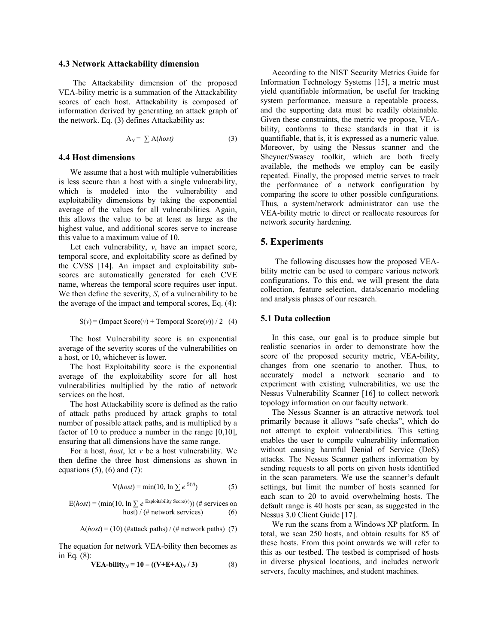#### **4.3 Network Attackability dimension**

The Attackability dimension of the proposed VEA-bility metric is a summation of the Attackability scores of each host. Attackability is composed of information derived by generating an attack graph of the network. Eq. (3) defines Attackability as:

$$
A_N = \sum A(host) \tag{3}
$$

#### **4.4 Host dimensions**

We assume that a host with multiple vulnerabilities is less secure than a host with a single vulnerability, which is modeled into the vulnerability and exploitability dimensions by taking the exponential average of the values for all vulnerabilities. Again, this allows the value to be at least as large as the highest value, and additional scores serve to increase this value to a maximum value of 10.

Let each vulnerability, *v*, have an impact score, temporal score, and exploitability score as defined by the CVSS [14]. An impact and exploitability subscores are automatically generated for each CVE name, whereas the temporal score requires user input. We then define the severity, *S*, of a vulnerability to be the average of the impact and temporal scores, Eq. (4):

$$
S(v) = (Image Score(v) + Temporal Score(v)) / 2
$$
 (4)

The host Vulnerability score is an exponential average of the severity scores of the vulnerabilities on a host, or 10, whichever is lower.

The host Exploitability score is the exponential average of the exploitability score for all host vulnerabilities multiplied by the ratio of network services on the host.

The host Attackability score is defined as the ratio of attack paths produced by attack graphs to total number of possible attack paths, and is multiplied by a factor of 10 to produce a number in the range [0,10], ensuring that all dimensions have the same range.

For a host, *host*, let *v* be a host vulnerability. We then define the three host dimensions as shown in equations  $(5)$ ,  $(6)$  and  $(7)$ :

$$
V(host) = \min(10, \ln \sum e^{S(v)})
$$
 (5)

 $E(host) = (min(10, ln \sum e^{Exploitability Score(v)}))$  (# services on host) / (# network services) (6)

$$
A(host) = (10)
$$
 (#attack paths) / (# network paths) (7)

The equation for network VEA-bility then becomes as in Eq. (8):

**VEA-bility***<sup>N</sup>* **= 10 – ((V+E+A)***<sup>N</sup>* **/ 3)** (8)

According to the NIST Security Metrics Guide for Information Technology Systems [15], a metric must yield quantifiable information, be useful for tracking system performance, measure a repeatable process, and the supporting data must be readily obtainable. Given these constraints, the metric we propose, VEAbility, conforms to these standards in that it is quantifiable, that is, it is expressed as a numeric value. Moreover, by using the Nessus scanner and the Sheyner/Swasey toolkit, which are both freely available, the methods we employ can be easily repeated. Finally, the proposed metric serves to track the performance of a network configuration by comparing the score to other possible configurations. Thus, a system/network administrator can use the VEA-bility metric to direct or reallocate resources for network security hardening.

## **5. Experiments**

The following discusses how the proposed VEAbility metric can be used to compare various network configurations. To this end, we will present the data collection, feature selection, data/scenario modeling and analysis phases of our research.

#### **5.1 Data collection**

In this case, our goal is to produce simple but realistic scenarios in order to demonstrate how the score of the proposed security metric, VEA-bility, changes from one scenario to another. Thus, to accurately model a network scenario and to experiment with existing vulnerabilities, we use the Nessus Vulnerability Scanner [16] to collect network topology information on our faculty network.

The Nessus Scanner is an attractive network tool primarily because it allows "safe checks", which do not attempt to exploit vulnerabilities. This setting enables the user to compile vulnerability information without causing harmful Denial of Service (DoS) attacks. The Nessus Scanner gathers information by sending requests to all ports on given hosts identified in the scan parameters. We use the scanner's default settings, but limit the number of hosts scanned for each scan to 20 to avoid overwhelming hosts. The default range is 40 hosts per scan, as suggested in the Nessus 3.0 Client Guide [17].

We run the scans from a Windows XP platform. In total, we scan 250 hosts, and obtain results for 85 of these hosts. From this point onwards we will refer to this as our testbed. The testbed is comprised of hosts in diverse physical locations, and includes network servers, faculty machines, and student machines.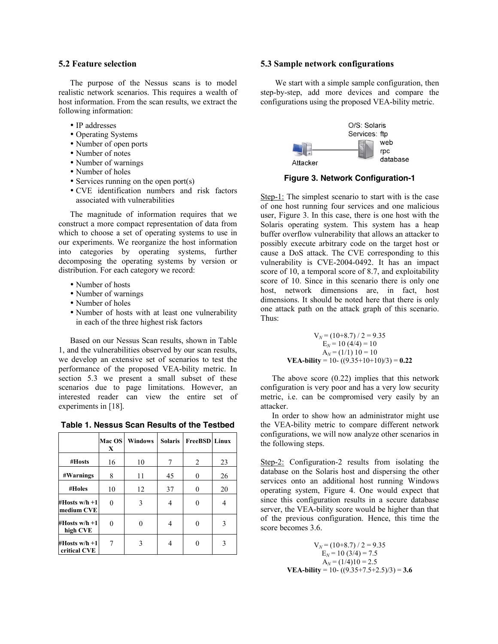#### **5.2 Feature selection**

The purpose of the Nessus scans is to model realistic network scenarios. This requires a wealth of host information. From the scan results, we extract the following information:

- IP addresses
- Operating Systems
- Number of open ports
- Number of notes
- Number of warnings
- Number of holes
- Services running on the open port(s)
- CVE identification numbers and risk factors associated with vulnerabilities

The magnitude of information requires that we construct a more compact representation of data from which to choose a set of operating systems to use in our experiments. We reorganize the host information into categories by operating systems, further decomposing the operating systems by version or distribution. For each category we record:

- Number of hosts
- Number of warnings
- Number of holes
- Number of hosts with at least one vulnerability in each of the three highest risk factors

Based on our Nessus Scan results, shown in Table 1, and the vulnerabilities observed by our scan results, we develop an extensive set of scenarios to test the performance of the proposed VEA-bility metric. In section 5.3 we present a small subset of these scenarios due to page limitations. However, an interested reader can view the entire set of experiments in [18].

**Table 1. Nessus Scan Results of the Testbed**

|                               | <b>Mac OS</b><br>X | <b>Windows</b> | <b>Solaris</b> | <b>FreeBSD Linux</b> |    |
|-------------------------------|--------------------|----------------|----------------|----------------------|----|
| #Hosts                        | 16                 | 10             |                | 2                    | 23 |
| #Warnings                     | 8                  | 11             | 45             | 0                    | 26 |
| #Holes                        | 10                 | 12             | 37             | 0                    | 20 |
| #Hosts w/h +1<br>medium CVE   | $\theta$           | 3              | 4              |                      |    |
| #Hosts w/h +1<br>high CVE     | 0                  |                | 4              | 0                    |    |
| #Hosts w/h +1<br>critical CVE | 7                  | 3              | 4              |                      |    |

#### **5.3 Sample network configurations**

We start with a simple sample configuration, then step-by-step, add more devices and compare the configurations using the proposed VEA-bility metric.



**Figure 3. Network Configuration-1**

Step-1: The simplest scenario to start with is the case of one host running four services and one malicious user, Figure 3. In this case, there is one host with the Solaris operating system. This system has a heap buffer overflow vulnerability that allows an attacker to possibly execute arbitrary code on the target host or cause a DoS attack. The CVE corresponding to this vulnerability is CVE-2004-0492. It has an impact score of 10, a temporal score of 8.7, and exploitability score of 10. Since in this scenario there is only one host, network dimensions are, in fact, host dimensions. It should be noted here that there is only one attack path on the attack graph of this scenario. Thus:

$$
V_N = (10+8.7) / 2 = 9.35
$$
  
\n
$$
E_N = 10 (4/4) = 10
$$
  
\n
$$
A_N = (1/1) 10 = 10
$$
  
\n**VEA-bility** = 10- ((9.35+10+10)/3) = **0.22**

The above score (0.22) implies that this network configuration is very poor and has a very low security metric, i.e. can be compromised very easily by an attacker.

In order to show how an administrator might use the VEA-bility metric to compare different network configurations, we will now analyze other scenarios in the following steps.

Step-2: Configuration-2 results from isolating the database on the Solaris host and dispersing the other services onto an additional host running Windows operating system, Figure 4. One would expect that since this configuration results in a secure database server, the VEA-bility score would be higher than that of the previous configuration. Hence, this time the score becomes 3.6.

> $V_N$  = (10+8.7) / 2 = 9.35  $E_N$  = 10 (3/4) = 7.5  $A_N = (1/4)10 = 2.5$ **VEA-bility** = 10- $((9.35 + 7.5 + 2.5)/3) = 3.6$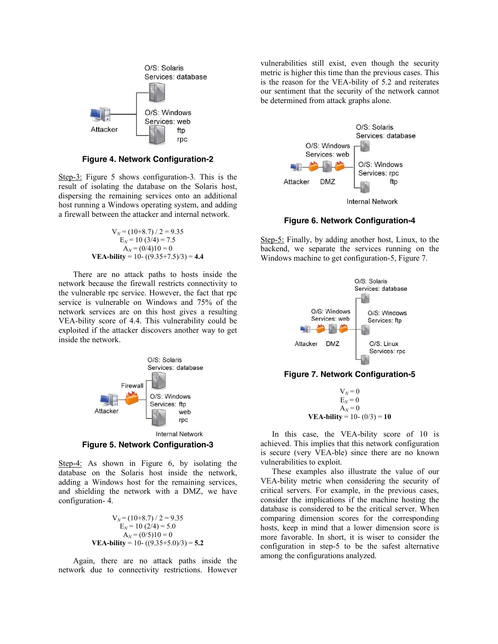

**Figure 4. Network Configuration-2**

Step-3: Figure 5 shows configuration-3. This is the result of isolating the database on the Solaris host, dispersing the remaining services onto an additional host running a Windows operating system, and adding a firewall between the attacker and internal network.

> $V_N$  = (10+8.7) / 2 = 9.35  $E_N$  = 10 (3/4) = 7.5  $A_N = (0/4)10 = 0$ **VEA-bility** = 10- $((9.35+7.5)/3) = 4.4$

There are no attack paths to hosts inside the network because the firewall restricts connectivity to the vulnerable rpc service. However, the fact that rpc service is vulnerable on Windows and 75% of the network services are on this host gives a resulting VEA-bility score of 4.4. This vulnerability could be exploited if the attacker discovers another way to get inside the network.



**Figure 5. Network Configuration-3**

Step-4: As shown in Figure 6, by isolating the database on the Solaris host inside the network, adding a Windows host for the remaining services, and shielding the network with a DMZ, we have configuration- 4.

$$
V_N = (10+8.7) / 2 = 9.35
$$
  
\n
$$
E_N = 10 (2/4) = 5.0
$$
  
\n
$$
A_N = (0/5)10 = 0
$$
  
\n**VEA-bility** = 10- ((9.35+5.0)/3) = **5.2**

Again, there are no attack paths inside the network due to connectivity restrictions. However vulnerabilities still exist, even though the security metric is higher this time than the previous cases. This is the reason for the VEA-bility of 5.2 and reiterates our sentiment that the security of the network cannot be determined from attack graphs alone.



**Figure 6. Network Configuration-4**

Step-5: Finally, by adding another host, Linux, to the backend, we separate the services running on the Windows machine to get configuration-5, Figure 7.



**Figure 7. Network Configuration-5**

$$
V_N = 0\nE_N = 0\nA_N = 0\nVEA-bility = 10- (0/3) = 10
$$

In this case, the VEA-bility score of 10 is achieved. This implies that this network configuration is secure (very VEA-ble) since there are no known vulnerabilities to exploit.

These examples also illustrate the value of our VEA-bility metric when considering the security of critical servers. For example, in the previous cases, consider the implications if the machine hosting the database is considered to be the critical server. When comparing dimension scores for the corresponding hosts, keep in mind that a lower dimension score is more favorable. In short, it is wiser to consider the configuration in step-5 to be the safest alternative among the configurations analyzed.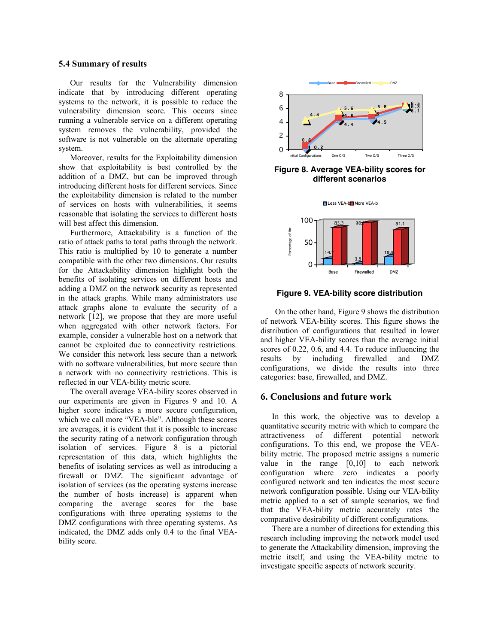## **5.4 Summary of results**

Our results for the Vulnerability dimension indicate that by introducing different operating systems to the network, it is possible to reduce the vulnerability dimension score. This occurs since running a vulnerable service on a different operating system removes the vulnerability, provided the software is not vulnerable on the alternate operating system.

Moreover, results for the Exploitability dimension show that exploitability is best controlled by the addition of a DMZ, but can be improved through introducing different hosts for different services. Since the exploitability dimension is related to the number of services on hosts with vulnerabilities, it seems reasonable that isolating the services to different hosts will best affect this dimension.

Furthermore, Attackability is a function of the ratio of attack paths to total paths through the network. This ratio is multiplied by 10 to generate a number compatible with the other two dimensions. Our results for the Attackability dimension highlight both the benefits of isolating services on different hosts and adding a DMZ on the network security as represented in the attack graphs. While many administrators use attack graphs alone to evaluate the security of a network [12], we propose that they are more useful when aggregated with other network factors. For example, consider a vulnerable host on a network that cannot be exploited due to connectivity restrictions. We consider this network less secure than a network with no software vulnerabilities, but more secure than a network with no connectivity restrictions. This is reflected in our VEA-bility metric score.

The overall average VEA-bility scores observed in our experiments are given in Figures 9 and 10. A higher score indicates a more secure configuration, which we call more "VEA-ble". Although these scores are averages, it is evident that it is possible to increase the security rating of a network configuration through isolation of services. Figure 8 is a pictorial representation of this data, which highlights the benefits of isolating services as well as introducing a firewall or DMZ. The significant advantage of isolation of services (as the operating systems increase the number of hosts increase) is apparent when comparing the average scores for the base configurations with three operating systems to the DMZ configurations with three operating systems. As indicated, the DMZ adds only 0.4 to the final VEAbility score.



**Figure 8. Average VEA-bility scores for different scenarios**



**Figure 9. VEA-bility score distribution**

On the other hand, Figure 9 shows the distribution of network VEA-bility scores. This figure shows the distribution of configurations that resulted in lower and higher VEA-bility scores than the average initial scores of 0.22, 0.6, and 4.4. To reduce influencing the results by including firewalled and DMZ configurations, we divide the results into three categories: base, firewalled, and DMZ.

## **6. Conclusions and future work**

In this work, the objective was to develop a quantitative security metric with which to compare the attractiveness of different potential network configurations. To this end, we propose the VEAbility metric. The proposed metric assigns a numeric value in the range [0,10] to each network configuration where zero indicates a poorly configured network and ten indicates the most secure network configuration possible. Using our VEA-bility metric applied to a set of sample scenarios, we find that the VEA-bility metric accurately rates the comparative desirability of different configurations.

There are a number of directions for extending this research including improving the network model used to generate the Attackability dimension, improving the metric itself, and using the VEA-bility metric to investigate specific aspects of network security.